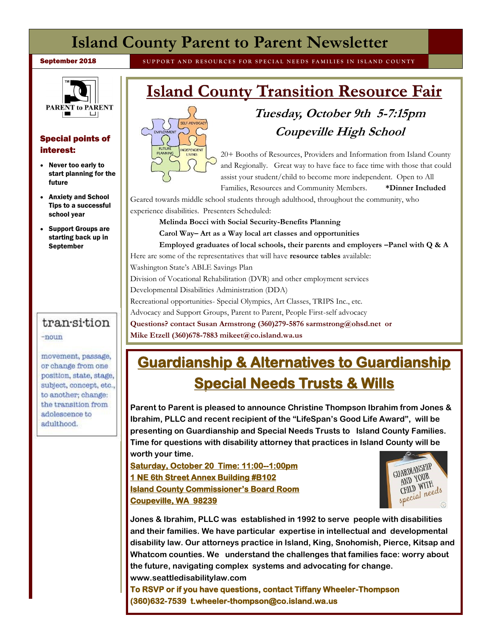## **Island County Parent to Parent Newsletter**

**September 2018** SUPPORT AND RESOURCES FOR SPECIAL NEEDS FAMILIES IN ISLAND COUNTY



#### Special points of interest:

- Never too early to start planning for the future
- Anxiety and School Tips to a successful school year
- Support Groups are starting back up in **September**

### transition

 $-noun$ 

movement, passage, or change from one position, state, stage, subject, concept, etc., to another; change: the transition from adolescence to adulthood.

# **Island County Transition Resource Fair**



## **Tuesday, October 9th 5-7:15pm Coupeville High School**

20+ Booths of Resources, Providers and Information from Island County and Regionally. Great way to have face to face time with those that could assist your student/child to become more independent. Open to All

Families, Resources and Community Members. **\*Dinner Included**

Geared towards middle school students through adulthood, throughout the community, who

experience disabilities. Presenters Scheduled:

**Melinda Bocci with Social Security-Benefits Planning** 

**Carol Way– Art as a Way local art classes and opportunities** 

**Employed graduates of local schools, their parents and employers –Panel with Q & A** 

Here are some of the representatives that will have **resource tables** available:

Washington State's ABLE Savings Plan

Division of Vocational Rehabilitation (DVR) and other employment services

Developmental Disabilities Administration (DDA)

Recreational opportunities- Special Olympics, Art Classes, TRIPS Inc., etc.

Advocacy and Support Groups, Parent to Parent, People First-self advocacy

**Questions? contact Susan Armstrong (360)279-5876 sarmstrong@ohsd.net or** 

**Mike Etzell (360)678-7883 mikeet@co.island.wa.us** 

# **Guardianship & Alternatives to Guardianship Special Needs Trusts & Wills**

**Parent to Parent is pleased to announce Christine Thompson Ibrahim from Jones & Ibrahim, PLLC and recent recipient of the "LifeSpan's Good Life Award", will be presenting on Guardianship and Special Needs Trusts to Island County Families. Time for questions with disability attorney that practices in Island County will be worth your time.** 

**Saturday, October 20 Time: 11:00--1:00pm 1 NE 6th Street Annex Building #B102 Island County Commissioner's Board Room Coupeville, WA 98239** 



**Jones & Ibrahim, PLLC was established in 1992 to serve people with disabilities and their families. We have particular expertise in intellectual and developmental disability law. Our attorneys practice in Island, King, Snohomish, Pierce, Kitsap and Whatcom counties. We understand the challenges that families face: worry about the future, navigating complex systems and advocating for change. www.seattledisabilitylaw.com** 

**To RSVP or if you have questions, contact Tiffany Wheeler-Thompson (360)632-7539 t.wheeler-thompson@co.island.wa.us**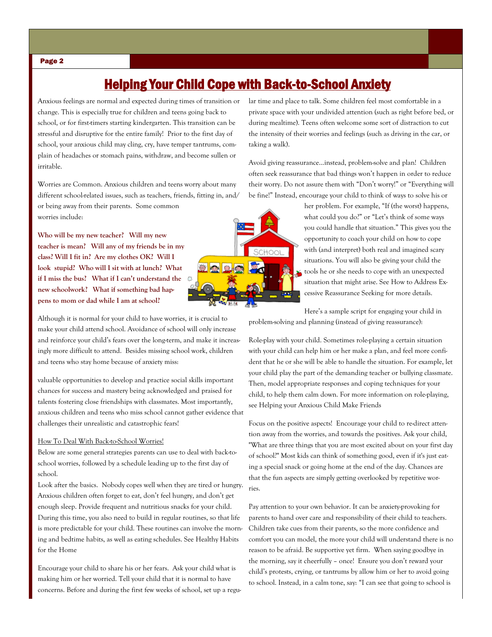### Helping Your Child Cope with Back-to-School Anxiety

Anxious feelings are normal and expected during times of transition or change. This is especially true for children and teens going back to school, or for first-timers starting kindergarten. This transition can be stressful and disruptive for the entire family! Prior to the first day of school, your anxious child may cling, cry, have temper tantrums, complain of headaches or stomach pains, withdraw, and become sullen or irritable.

Worries are Common. Anxious children and teens worry about many different school-related issues, such as teachers, friends, fitting in, and/ or being away from their parents. Some common worries include:

**Who will be my new teacher? Will my new teacher is mean? Will any of my friends be in my class? Will I fit in? Are my clothes OK? Will I look stupid? Who will I sit with at lunch? What if I miss the bus? What if I can't understand the new schoolwork? What if something bad happens to mom or dad while I am at school?**

Although it is normal for your child to have worries, it is crucial to make your child attend school. Avoidance of school will only increase and reinforce your child's fears over the long-term, and make it increasingly more difficult to attend. Besides missing school work, children and teens who stay home because of anxiety miss:

valuable opportunities to develop and practice social skills important chances for success and mastery being acknowledged and praised for talents fostering close friendships with classmates. Most importantly, anxious children and teens who miss school cannot gather evidence that challenges their unrealistic and catastrophic fears!

#### How To Deal With Back-to-School Worries!

Below are some general strategies parents can use to deal with back-toschool worries, followed by a schedule leading up to the first day of school.

Look after the basics. Nobody copes well when they are tired or hungry. Anxious children often forget to eat, don't feel hungry, and don't get enough sleep. Provide frequent and nutritious snacks for your child. During this time, you also need to build in regular routines, so that life is more predictable for your child. These routines can involve the morning and bedtime habits, as well as eating schedules. See Healthy Habits for the Home

Encourage your child to share his or her fears. Ask your child what is making him or her worried. Tell your child that it is normal to have concerns. Before and during the first few weeks of school, set up a regular time and place to talk. Some children feel most comfortable in a private space with your undivided attention (such as right before bed, or during mealtime). Teens often welcome some sort of distraction to cut the intensity of their worries and feelings (such as driving in the car, or taking a walk).

Avoid giving reassurance...instead, problem-solve and plan! Children often seek reassurance that bad things won't happen in order to reduce their worry. Do not assure them with "Don't worry!" or "Everything will be fine!" Instead, encourage your child to think of ways to solve his or



her problem. For example, "If (the worst) happens, what could you do?" or "Let's think of some ways you could handle that situation." This gives you the opportunity to coach your child on how to cope with (and interpret) both real and imagined scary situations. You will also be giving your child the tools he or she needs to cope with an unexpected situation that might arise. See How to Address Excessive Reassurance Seeking for more details.

Here's a sample script for engaging your child in problem-solving and planning (instead of giving reassurance):

Role-play with your child. Sometimes role-playing a certain situation with your child can help him or her make a plan, and feel more confident that he or she will be able to handle the situation. For example, let your child play the part of the demanding teacher or bullying classmate. Then, model appropriate responses and coping techniques for your child, to help them calm down. For more information on role-playing, see Helping your Anxious Child Make Friends

Focus on the positive aspects! Encourage your child to re-direct attention away from the worries, and towards the positives. Ask your child, "What are three things that you are most excited about on your first day of school?" Most kids can think of something good, even if it's just eating a special snack or going home at the end of the day. Chances are that the fun aspects are simply getting overlooked by repetitive worries.

Pay attention to your own behavior. It can be anxiety-provoking for parents to hand over care and responsibility of their child to teachers. Children take cues from their parents, so the more confidence and comfort you can model, the more your child will understand there is no reason to be afraid. Be supportive yet firm. When saying goodbye in the morning, say it cheerfully – once! Ensure you don't reward your child's protests, crying, or tantrums by allow him or her to avoid going to school. Instead, in a calm tone, say: "I can see that going to school is

#### Page 2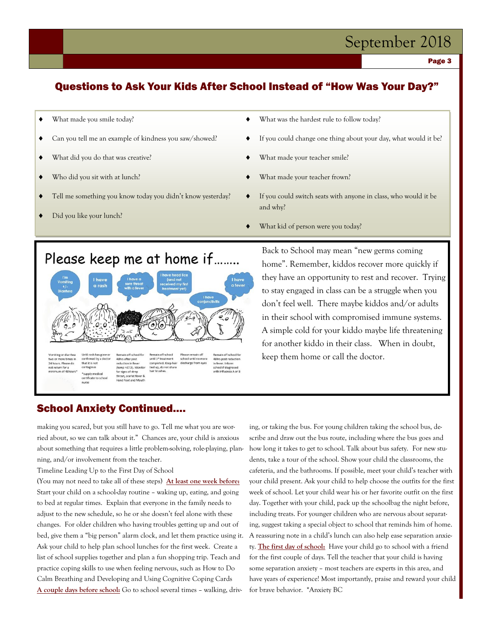## September 2018

Page 3

### Questions to Ask Your Kids After School Instead of "How Was Your Day?"

- What made you smile today?
- Can you tell me an example of kindness you saw/showed?
- What did you do that was creative?
- Who did you sit with at lunch?
- Tell me something you know today you didn't know yesterday?
- Did you like your lunch?
- What was the hardest rule to follow today?
- If you could change one thing about your day, what would it be?
- What made your teacher smile?
- What made your teacher frown?
- If you could switch seats with anyone in class, who would it be and why?
- What kid of person were you today?

### Please keep me at home if........



Back to School may mean "new germs coming home". Remember, kiddos recover more quickly if they have an opportunity to rest and recover. Trying to stay engaged in class can be a struggle when you don't feel well. There maybe kiddos and/or adults in their school with compromised immune systems. A simple cold for your kiddo maybe life threatening for another kiddo in their class. When in doubt, keep them home or call the doctor.

### School Anxiety Continued….

making you scared, but you still have to go. Tell me what you are worried about, so we can talk about it." Chances are, your child is anxious about something that requires a little problem-solving, role-playing, planning, and/or involvement from the teacher.

Timeline Leading Up to the First Day of School

(You may not need to take all of these steps) **At least one week before:** Start your child on a school-day routine – waking up, eating, and going to bed at regular times. Explain that everyone in the family needs to adjust to the new schedule, so he or she doesn't feel alone with these changes. For older children who having troubles getting up and out of bed, give them a "big person" alarm clock, and let them practice using it. Ask your child to help plan school lunches for the first week. Create a list of school supplies together and plan a fun shopping trip. Teach and practice coping skills to use when feeling nervous, such as How to Do Calm Breathing and Developing and Using Cognitive Coping Cards **A couple days before school:** Go to school several times – walking, driv-

ing, or taking the bus. For young children taking the school bus, describe and draw out the bus route, including where the bus goes and how long it takes to get to school. Talk about bus safety. For new students, take a tour of the school. Show your child the classrooms, the cafeteria, and the bathrooms. If possible, meet your child's teacher with your child present. Ask your child to help choose the outfits for the first week of school. Let your child wear his or her favorite outfit on the first day. Together with your child, pack up the schoolbag the night before, including treats. For younger children who are nervous about separating, suggest taking a special object to school that reminds him of home. A reassuring note in a child's lunch can also help ease separation anxiety. **The first day of school:** Have your child go to school with a friend for the first couple of days. Tell the teacher that your child is having some separation anxiety – most teachers are experts in this area, and have years of experience! Most importantly, praise and reward your child for brave behavior. \*Anxiety BC